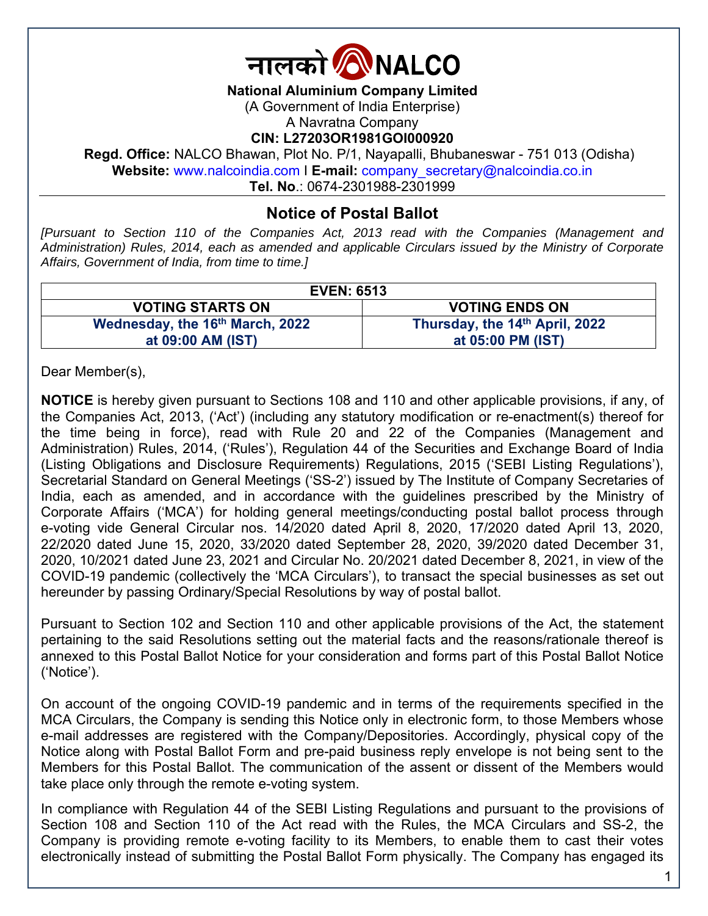

**National Aluminium Company Limited** 

(A Government of India Enterprise)

A Navratna Company

**CIN: L27203OR1981GOI000920** 

**Regd. Office:** NALCO Bhawan, Plot No. P/1, Nayapalli, Bhubaneswar - 751 013 (Odisha) **Website:** www.nalcoindia.com I **E-mail:** company\_secretary@nalcoindia.co.in

**Tel. No**.: 0674-2301988-2301999

# **Notice of Postal Ballot**

*[Pursuant to Section 110 of the Companies Act, 2013 read with the Companies (Management and Administration) Rules, 2014, each as amended and applicable Circulars issued by the Ministry of Corporate Affairs, Government of India, from time to time.]* 

| <b>EVEN: 6513</b>                           |                                |
|---------------------------------------------|--------------------------------|
| <b>VOTING STARTS ON</b>                     | <b>VOTING ENDS ON</b>          |
| Wednesday, the 16 <sup>th</sup> March, 2022 | Thursday, the 14th April, 2022 |
| at 09:00 AM (IST)                           | at 05:00 PM (IST)              |

Dear Member(s),

**NOTICE** is hereby given pursuant to Sections 108 and 110 and other applicable provisions, if any, of the Companies Act, 2013, ('Act') (including any statutory modification or re-enactment(s) thereof for the time being in force), read with Rule 20 and 22 of the Companies (Management and Administration) Rules, 2014, ('Rules'), Regulation 44 of the Securities and Exchange Board of India (Listing Obligations and Disclosure Requirements) Regulations, 2015 ('SEBI Listing Regulations'), Secretarial Standard on General Meetings ('SS-2') issued by The Institute of Company Secretaries of India, each as amended, and in accordance with the guidelines prescribed by the Ministry of Corporate Affairs ('MCA') for holding general meetings/conducting postal ballot process through e-voting vide General Circular nos. 14/2020 dated April 8, 2020, 17/2020 dated April 13, 2020, 22/2020 dated June 15, 2020, 33/2020 dated September 28, 2020, 39/2020 dated December 31, 2020, 10/2021 dated June 23, 2021 and Circular No. 20/2021 dated December 8, 2021, in view of the COVID-19 pandemic (collectively the 'MCA Circulars'), to transact the special businesses as set out hereunder by passing Ordinary/Special Resolutions by way of postal ballot.

Pursuant to Section 102 and Section 110 and other applicable provisions of the Act, the statement pertaining to the said Resolutions setting out the material facts and the reasons/rationale thereof is annexed to this Postal Ballot Notice for your consideration and forms part of this Postal Ballot Notice ('Notice').

On account of the ongoing COVID-19 pandemic and in terms of the requirements specified in the MCA Circulars, the Company is sending this Notice only in electronic form, to those Members whose e-mail addresses are registered with the Company/Depositories. Accordingly, physical copy of the Notice along with Postal Ballot Form and pre-paid business reply envelope is not being sent to the Members for this Postal Ballot. The communication of the assent or dissent of the Members would take place only through the remote e-voting system.

In compliance with Regulation 44 of the SEBI Listing Regulations and pursuant to the provisions of Section 108 and Section 110 of the Act read with the Rules, the MCA Circulars and SS-2, the Company is providing remote e-voting facility to its Members, to enable them to cast their votes electronically instead of submitting the Postal Ballot Form physically. The Company has engaged its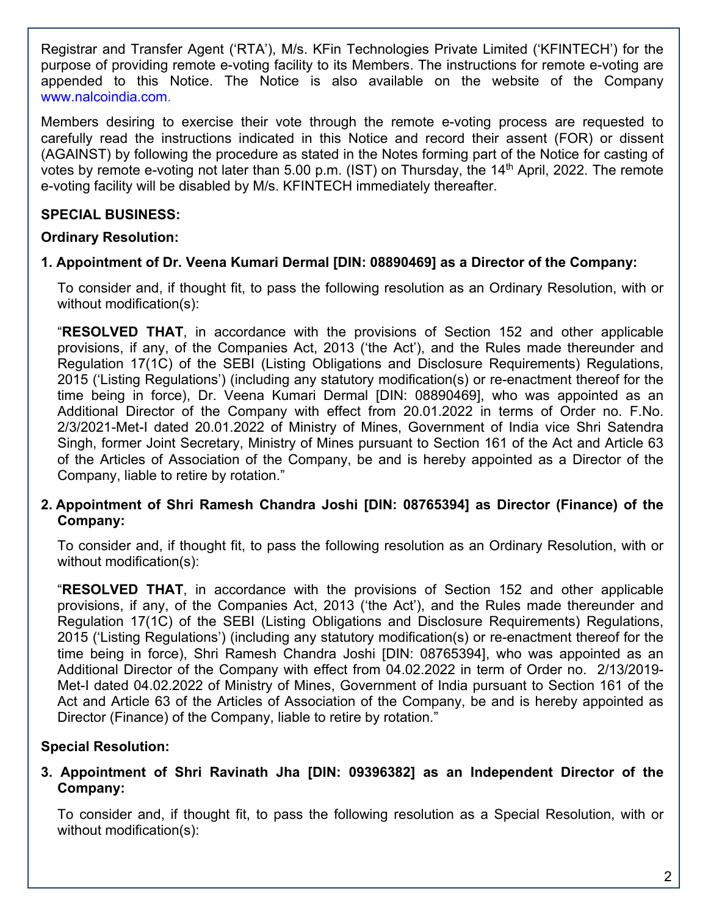Registrar and Transfer Agent ('RTA'), M/s. KFin Technologies Private Limited ('KFINTECH') for the purpose of providing remote e-voting facility to its Members. The instructions for remote e-voting are appended to this Notice. The Notice is also available on the website of the Company www.nalcoindia.com.

Members desiring to exercise their vote through the remote e-voting process are requested to carefully read the instructions indicated in this Notice and record their assent (FOR) or dissent (AGAINST) by following the procedure as stated in the Notes forming part of the Notice for casting of votes by remote e-voting not later than 5.00 p.m. (IST) on Thursday, the 14<sup>th</sup> April, 2022. The remote e-voting facility will be disabled by M/s. KFINTECH immediately thereafter.

# **SPECIAL BUSINESS:**

## **Ordinary Resolution:**

## **1. Appointment of Dr. Veena Kumari Dermal [DIN: 08890469] as a Director of the Company:**

To consider and, if thought fit, to pass the following resolution as an Ordinary Resolution, with or without modification(s):

"**RESOLVED THAT**, in accordance with the provisions of Section 152 and other applicable provisions, if any, of the Companies Act, 2013 ('the Act'), and the Rules made thereunder and Regulation 17(1C) of the SEBI (Listing Obligations and Disclosure Requirements) Regulations, 2015 ('Listing Regulations') (including any statutory modification(s) or re-enactment thereof for the time being in force), Dr. Veena Kumari Dermal [DIN: 08890469], who was appointed as an Additional Director of the Company with effect from 20.01.2022 in terms of Order no. F.No. 2/3/2021-Met-I dated 20.01.2022 of Ministry of Mines, Government of India vice Shri Satendra Singh, former Joint Secretary, Ministry of Mines pursuant to Section 161 of the Act and Article 63 of the Articles of Association of the Company, be and is hereby appointed as a Director of the Company, liable to retire by rotation."

## **2. Appointment of Shri Ramesh Chandra Joshi [DIN: 08765394] as Director (Finance) of the Company:**

To consider and, if thought fit, to pass the following resolution as an Ordinary Resolution, with or without modification(s):

"**RESOLVED THAT**, in accordance with the provisions of Section 152 and other applicable provisions, if any, of the Companies Act, 2013 ('the Act'), and the Rules made thereunder and Regulation 17(1C) of the SEBI (Listing Obligations and Disclosure Requirements) Regulations, 2015 ('Listing Regulations') (including any statutory modification(s) or re-enactment thereof for the time being in force), Shri Ramesh Chandra Joshi [DIN: 08765394], who was appointed as an Additional Director of the Company with effect from 04.02.2022 in term of Order no. 2/13/2019- Met-I dated 04.02.2022 of Ministry of Mines, Government of India pursuant to Section 161 of the Act and Article 63 of the Articles of Association of the Company, be and is hereby appointed as Director (Finance) of the Company, liable to retire by rotation."

# **Special Resolution:**

## **3. Appointment of Shri Ravinath Jha [DIN: 09396382] as an Independent Director of the Company:**

To consider and, if thought fit, to pass the following resolution as a Special Resolution, with or without modification(s):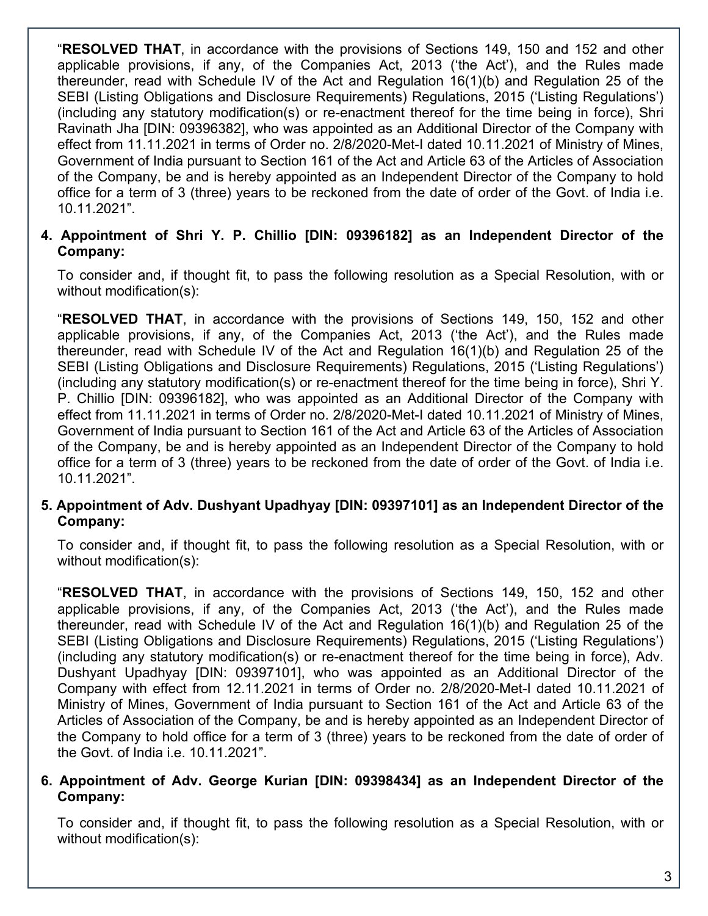"**RESOLVED THAT**, in accordance with the provisions of Sections 149, 150 and 152 and other applicable provisions, if any, of the Companies Act, 2013 ('the Act'), and the Rules made thereunder, read with Schedule IV of the Act and Regulation 16(1)(b) and Regulation 25 of the SEBI (Listing Obligations and Disclosure Requirements) Regulations, 2015 ('Listing Regulations') (including any statutory modification(s) or re-enactment thereof for the time being in force), Shri Ravinath Jha [DIN: 09396382], who was appointed as an Additional Director of the Company with effect from 11.11.2021 in terms of Order no. 2/8/2020-Met-I dated 10.11.2021 of Ministry of Mines, Government of India pursuant to Section 161 of the Act and Article 63 of the Articles of Association of the Company, be and is hereby appointed as an Independent Director of the Company to hold office for a term of 3 (three) years to be reckoned from the date of order of the Govt. of India i.e. 10.11.2021".

## **4. Appointment of Shri Y. P. Chillio [DIN: 09396182] as an Independent Director of the Company:**

To consider and, if thought fit, to pass the following resolution as a Special Resolution, with or without modification(s):

"**RESOLVED THAT**, in accordance with the provisions of Sections 149, 150, 152 and other applicable provisions, if any, of the Companies Act, 2013 ('the Act'), and the Rules made thereunder, read with Schedule IV of the Act and Regulation 16(1)(b) and Regulation 25 of the SEBI (Listing Obligations and Disclosure Requirements) Regulations, 2015 ('Listing Regulations') (including any statutory modification(s) or re-enactment thereof for the time being in force), Shri Y. P. Chillio [DIN: 09396182], who was appointed as an Additional Director of the Company with effect from 11.11.2021 in terms of Order no. 2/8/2020-Met-I dated 10.11.2021 of Ministry of Mines, Government of India pursuant to Section 161 of the Act and Article 63 of the Articles of Association of the Company, be and is hereby appointed as an Independent Director of the Company to hold office for a term of 3 (three) years to be reckoned from the date of order of the Govt. of India i.e. 10.11.2021".

### **5. Appointment of Adv. Dushyant Upadhyay [DIN: 09397101] as an Independent Director of the Company:**

To consider and, if thought fit, to pass the following resolution as a Special Resolution, with or without modification(s):

"**RESOLVED THAT**, in accordance with the provisions of Sections 149, 150, 152 and other applicable provisions, if any, of the Companies Act, 2013 ('the Act'), and the Rules made thereunder, read with Schedule IV of the Act and Regulation 16(1)(b) and Regulation 25 of the SEBI (Listing Obligations and Disclosure Requirements) Regulations, 2015 ('Listing Regulations') (including any statutory modification(s) or re-enactment thereof for the time being in force), Adv. Dushyant Upadhyay [DIN: 09397101], who was appointed as an Additional Director of the Company with effect from 12.11.2021 in terms of Order no. 2/8/2020-Met-I dated 10.11.2021 of Ministry of Mines, Government of India pursuant to Section 161 of the Act and Article 63 of the Articles of Association of the Company, be and is hereby appointed as an Independent Director of the Company to hold office for a term of 3 (three) years to be reckoned from the date of order of the Govt. of India i.e. 10.11.2021".

### **6. Appointment of Adv. George Kurian [DIN: 09398434] as an Independent Director of the Company:**

To consider and, if thought fit, to pass the following resolution as a Special Resolution, with or without modification(s):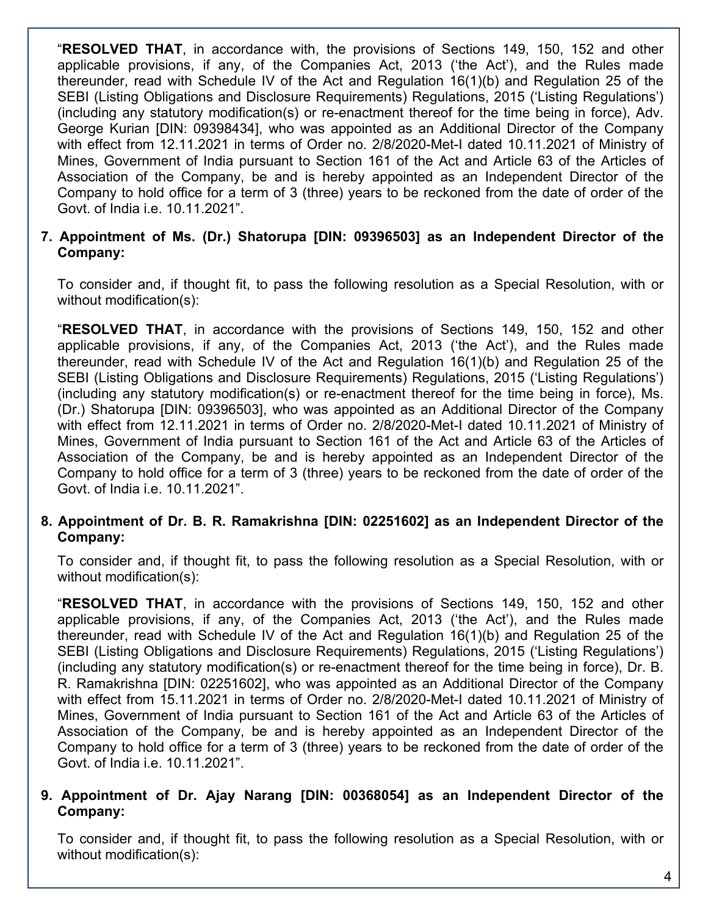"**RESOLVED THAT**, in accordance with, the provisions of Sections 149, 150, 152 and other applicable provisions, if any, of the Companies Act, 2013 ('the Act'), and the Rules made thereunder, read with Schedule IV of the Act and Regulation 16(1)(b) and Regulation 25 of the SEBI (Listing Obligations and Disclosure Requirements) Regulations, 2015 ('Listing Regulations') (including any statutory modification(s) or re-enactment thereof for the time being in force), Adv. George Kurian [DIN: 09398434], who was appointed as an Additional Director of the Company with effect from 12.11.2021 in terms of Order no. 2/8/2020-Met-I dated 10.11.2021 of Ministry of Mines, Government of India pursuant to Section 161 of the Act and Article 63 of the Articles of Association of the Company, be and is hereby appointed as an Independent Director of the Company to hold office for a term of 3 (three) years to be reckoned from the date of order of the Govt. of India i.e. 10.11.2021".

## **7. Appointment of Ms. (Dr.) Shatorupa [DIN: 09396503] as an Independent Director of the Company:**

To consider and, if thought fit, to pass the following resolution as a Special Resolution, with or without modification(s):

"**RESOLVED THAT**, in accordance with the provisions of Sections 149, 150, 152 and other applicable provisions, if any, of the Companies Act, 2013 ('the Act'), and the Rules made thereunder, read with Schedule IV of the Act and Regulation 16(1)(b) and Regulation 25 of the SEBI (Listing Obligations and Disclosure Requirements) Regulations, 2015 ('Listing Regulations') (including any statutory modification(s) or re-enactment thereof for the time being in force), Ms. (Dr.) Shatorupa [DIN: 09396503], who was appointed as an Additional Director of the Company with effect from 12.11.2021 in terms of Order no. 2/8/2020-Met-I dated 10.11.2021 of Ministry of Mines, Government of India pursuant to Section 161 of the Act and Article 63 of the Articles of Association of the Company, be and is hereby appointed as an Independent Director of the Company to hold office for a term of 3 (three) years to be reckoned from the date of order of the Govt. of India i.e. 10.11.2021".

## **8. Appointment of Dr. B. R. Ramakrishna [DIN: 02251602] as an Independent Director of the Company:**

To consider and, if thought fit, to pass the following resolution as a Special Resolution, with or without modification(s):

"**RESOLVED THAT**, in accordance with the provisions of Sections 149, 150, 152 and other applicable provisions, if any, of the Companies Act, 2013 ('the Act'), and the Rules made thereunder, read with Schedule IV of the Act and Regulation 16(1)(b) and Regulation 25 of the SEBI (Listing Obligations and Disclosure Requirements) Regulations, 2015 ('Listing Regulations') (including any statutory modification(s) or re-enactment thereof for the time being in force), Dr. B. R. Ramakrishna [DIN: 02251602], who was appointed as an Additional Director of the Company with effect from 15.11.2021 in terms of Order no. 2/8/2020-Met-I dated 10.11.2021 of Ministry of Mines, Government of India pursuant to Section 161 of the Act and Article 63 of the Articles of Association of the Company, be and is hereby appointed as an Independent Director of the Company to hold office for a term of 3 (three) years to be reckoned from the date of order of the Govt. of India i.e. 10.11.2021".

### **9. Appointment of Dr. Ajay Narang [DIN: 00368054] as an Independent Director of the Company:**

To consider and, if thought fit, to pass the following resolution as a Special Resolution, with or without modification(s):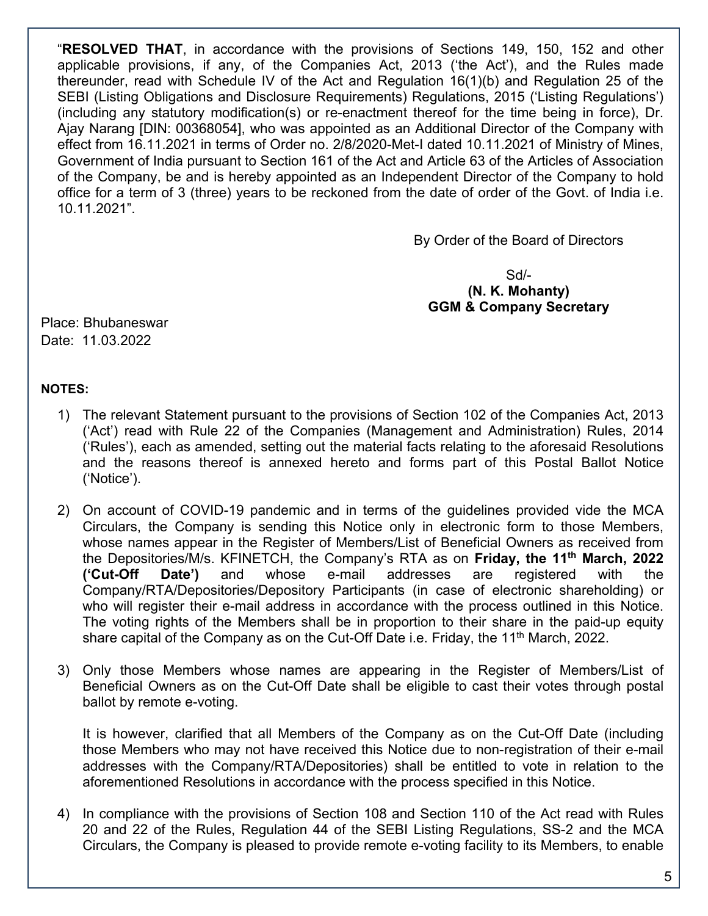"**RESOLVED THAT**, in accordance with the provisions of Sections 149, 150, 152 and other applicable provisions, if any, of the Companies Act, 2013 ('the Act'), and the Rules made thereunder, read with Schedule IV of the Act and Regulation 16(1)(b) and Regulation 25 of the SEBI (Listing Obligations and Disclosure Requirements) Regulations, 2015 ('Listing Regulations') (including any statutory modification(s) or re-enactment thereof for the time being in force), Dr. Ajay Narang [DIN: 00368054], who was appointed as an Additional Director of the Company with effect from 16.11.2021 in terms of Order no. 2/8/2020-Met-I dated 10.11.2021 of Ministry of Mines, Government of India pursuant to Section 161 of the Act and Article 63 of the Articles of Association of the Company, be and is hereby appointed as an Independent Director of the Company to hold office for a term of 3 (three) years to be reckoned from the date of order of the Govt. of India i.e. 10.11.2021".

By Order of the Board of Directors

Sd/- **(N. K. Mohanty) GGM & Company Secretary** 

Place: Bhubaneswar Date: 11.03.2022

### **NOTES:**

- 1) The relevant Statement pursuant to the provisions of Section 102 of the Companies Act, 2013 ('Act') read with Rule 22 of the Companies (Management and Administration) Rules, 2014 ('Rules'), each as amended, setting out the material facts relating to the aforesaid Resolutions and the reasons thereof is annexed hereto and forms part of this Postal Ballot Notice ('Notice').
- 2) On account of COVID-19 pandemic and in terms of the guidelines provided vide the MCA Circulars, the Company is sending this Notice only in electronic form to those Members, whose names appear in the Register of Members/List of Beneficial Owners as received from the Depositories/M/s. KFINETCH, the Company's RTA as on **Friday, the 11th March, 2022 ('Cut-Off Date')** and whose e-mail addresses are registered with the Company/RTA/Depositories/Depository Participants (in case of electronic shareholding) or who will register their e-mail address in accordance with the process outlined in this Notice. The voting rights of the Members shall be in proportion to their share in the paid-up equity share capital of the Company as on the Cut-Off Date i.e. Friday, the 11<sup>th</sup> March, 2022.
- 3) Only those Members whose names are appearing in the Register of Members/List of Beneficial Owners as on the Cut-Off Date shall be eligible to cast their votes through postal ballot by remote e-voting.

It is however, clarified that all Members of the Company as on the Cut-Off Date (including those Members who may not have received this Notice due to non-registration of their e-mail addresses with the Company/RTA/Depositories) shall be entitled to vote in relation to the aforementioned Resolutions in accordance with the process specified in this Notice.

4) In compliance with the provisions of Section 108 and Section 110 of the Act read with Rules 20 and 22 of the Rules, Regulation 44 of the SEBI Listing Regulations, SS-2 and the MCA Circulars, the Company is pleased to provide remote e-voting facility to its Members, to enable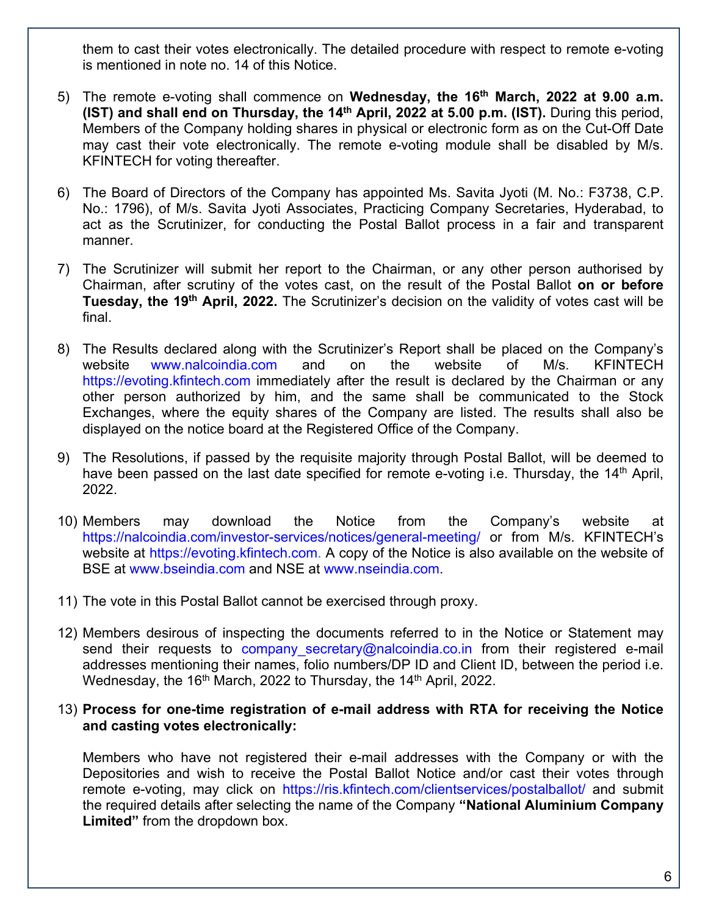them to cast their votes electronically. The detailed procedure with respect to remote e-voting is mentioned in note no. 14 of this Notice.

- 5) The remote e-voting shall commence on **Wednesday, the 16th March, 2022 at 9.00 a.m. (IST) and shall end on Thursday, the 14th April, 2022 at 5.00 p.m. (IST).** During this period, Members of the Company holding shares in physical or electronic form as on the Cut-Off Date may cast their vote electronically. The remote e-voting module shall be disabled by M/s. KFINTECH for voting thereafter.
- 6) The Board of Directors of the Company has appointed Ms. Savita Jyoti (M. No.: F3738, C.P. No.: 1796), of M/s. Savita Jyoti Associates, Practicing Company Secretaries, Hyderabad, to act as the Scrutinizer, for conducting the Postal Ballot process in a fair and transparent manner.
- 7) The Scrutinizer will submit her report to the Chairman, or any other person authorised by Chairman, after scrutiny of the votes cast, on the result of the Postal Ballot **on or before Tuesday, the 19th April, 2022.** The Scrutinizer's decision on the validity of votes cast will be final.
- 8) The Results declared along with the Scrutinizer's Report shall be placed on the Company's website www.nalcoindia.com and on the website of M/s. KFINTECH https://evoting.kfintech.com immediately after the result is declared by the Chairman or any other person authorized by him, and the same shall be communicated to the Stock Exchanges, where the equity shares of the Company are listed. The results shall also be displayed on the notice board at the Registered Office of the Company.
- 9) The Resolutions, if passed by the requisite majority through Postal Ballot, will be deemed to have been passed on the last date specified for remote e-voting i.e. Thursday, the 14<sup>th</sup> April, 2022.
- 10) Members may download the Notice from the Company's website at https://nalcoindia.com/investor-services/notices/general-meeting/ or from M/s. KFINTECH's website at https://evoting.kfintech.com. A copy of the Notice is also available on the website of BSE at www.bseindia.com and NSE at www.nseindia.com.
- 11) The vote in this Postal Ballot cannot be exercised through proxy.
- 12) Members desirous of inspecting the documents referred to in the Notice or Statement may send their requests to company secretary@nalcoindia.co.in from their registered e-mail addresses mentioning their names, folio numbers/DP ID and Client ID, between the period i.e. Wednesday, the 16<sup>th</sup> March, 2022 to Thursday, the 14<sup>th</sup> April, 2022.

#### 13) **Process for one-time registration of e-mail address with RTA for receiving the Notice and casting votes electronically:**

Members who have not registered their e-mail addresses with the Company or with the Depositories and wish to receive the Postal Ballot Notice and/or cast their votes through remote e-voting, may click on https://ris.kfintech.com/clientservices/postalballot/ and submit the required details after selecting the name of the Company **"National Aluminium Company Limited"** from the dropdown box.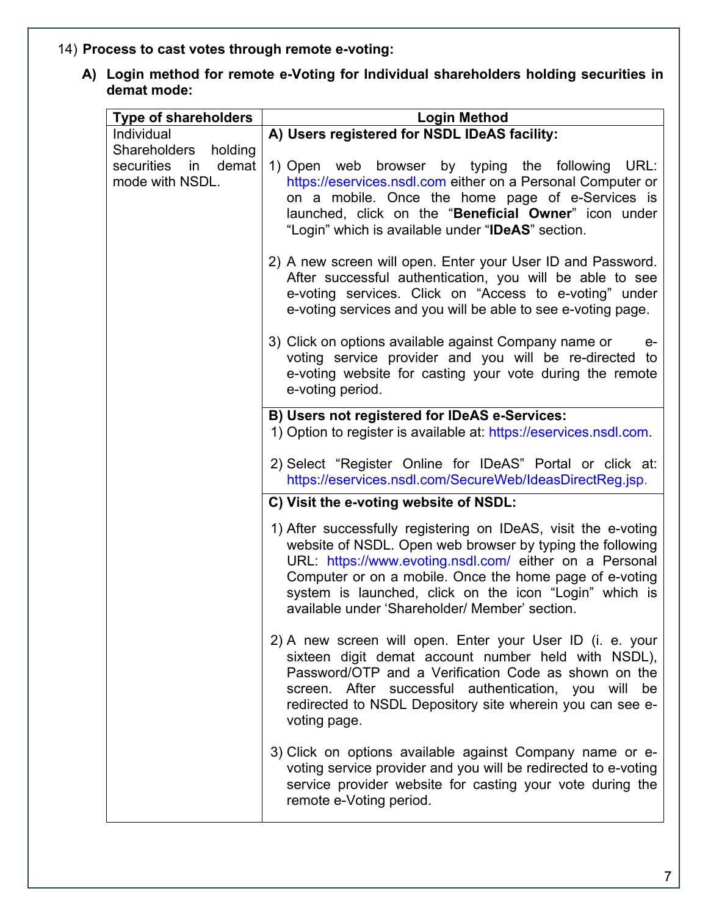# 14) **Process to cast votes through remote e-voting:**

**A) Login method for remote e-Voting for Individual shareholders holding securities in demat mode:**

| <b>Type of shareholders</b>                                          | <b>Login Method</b>                                                                                                                                                                                                                                                                                                                                           |
|----------------------------------------------------------------------|---------------------------------------------------------------------------------------------------------------------------------------------------------------------------------------------------------------------------------------------------------------------------------------------------------------------------------------------------------------|
| Individual                                                           | A) Users registered for NSDL IDeAS facility:                                                                                                                                                                                                                                                                                                                  |
| Shareholders holding<br>demat<br>securities<br>in<br>mode with NSDL. | 1) Open web browser by typing the following URL:<br>https://eservices.nsdl.com either on a Personal Computer or<br>on a mobile. Once the home page of e-Services is<br>launched, click on the "Beneficial Owner" icon under<br>"Login" which is available under "IDeAS" section.                                                                              |
|                                                                      | 2) A new screen will open. Enter your User ID and Password.<br>After successful authentication, you will be able to see<br>e-voting services. Click on "Access to e-voting" under<br>e-voting services and you will be able to see e-voting page.                                                                                                             |
|                                                                      | 3) Click on options available against Company name or<br>е-<br>voting service provider and you will be re-directed to<br>e-voting website for casting your vote during the remote<br>e-voting period.                                                                                                                                                         |
|                                                                      | B) Users not registered for IDeAS e-Services:<br>1) Option to register is available at: https://eservices.nsdl.com.                                                                                                                                                                                                                                           |
|                                                                      | 2) Select "Register Online for IDeAS" Portal or click at:<br>https://eservices.nsdl.com/SecureWeb/IdeasDirectReg.jsp.                                                                                                                                                                                                                                         |
|                                                                      | C) Visit the e-voting website of NSDL:                                                                                                                                                                                                                                                                                                                        |
|                                                                      | 1) After successfully registering on IDeAS, visit the e-voting<br>website of NSDL. Open web browser by typing the following<br>URL: https://www.evoting.nsdl.com/ either on a Personal<br>Computer or on a mobile. Once the home page of e-voting<br>system is launched, click on the icon "Login" which is<br>available under 'Shareholder/ Member' section. |
|                                                                      | 2) A new screen will open. Enter your User ID (i. e. your<br>sixteen digit demat account number held with NSDL),<br>Password/OTP and a Verification Code as shown on the<br>screen. After successful authentication, you will be<br>redirected to NSDL Depository site wherein you can see e-<br>voting page.                                                 |
|                                                                      | 3) Click on options available against Company name or e-<br>voting service provider and you will be redirected to e-voting<br>service provider website for casting your vote during the<br>remote e-Voting period.                                                                                                                                            |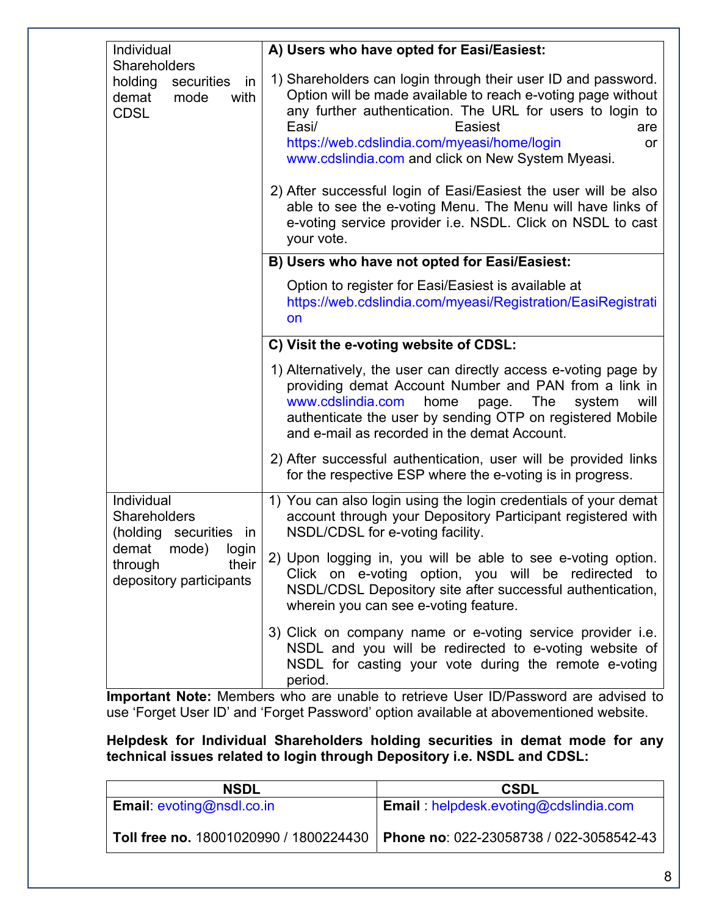| Individual                                                                          | A) Users who have opted for Easi/Easiest:                                                                                                                                                                                                                                                                                                                                                                                                                                                                                                    |
|-------------------------------------------------------------------------------------|----------------------------------------------------------------------------------------------------------------------------------------------------------------------------------------------------------------------------------------------------------------------------------------------------------------------------------------------------------------------------------------------------------------------------------------------------------------------------------------------------------------------------------------------|
| Shareholders<br>holding<br>securities<br>in<br>demat<br>mode<br>with<br><b>CDSL</b> | 1) Shareholders can login through their user ID and password.<br>Option will be made available to reach e-voting page without<br>any further authentication. The URL for users to login to<br>Easi/<br>Easiest<br>are<br>https://web.cdslindia.com/myeasi/home/login<br>or<br>www.cdslindia.com and click on New System Myeasi.<br>2) After successful login of Easi/Easiest the user will be also<br>able to see the e-voting Menu. The Menu will have links of<br>e-voting service provider i.e. NSDL. Click on NSDL to cast<br>your vote. |
|                                                                                     | B) Users who have not opted for Easi/Easiest:                                                                                                                                                                                                                                                                                                                                                                                                                                                                                                |
|                                                                                     | Option to register for Easi/Easiest is available at<br>https://web.cdslindia.com/myeasi/Registration/EasiRegistrati<br>on                                                                                                                                                                                                                                                                                                                                                                                                                    |
|                                                                                     | C) Visit the e-voting website of CDSL:                                                                                                                                                                                                                                                                                                                                                                                                                                                                                                       |
|                                                                                     | 1) Alternatively, the user can directly access e-voting page by<br>providing demat Account Number and PAN from a link in<br>www.cdslindia.com<br>home<br>The<br>will<br>page.<br>system<br>authenticate the user by sending OTP on registered Mobile<br>and e-mail as recorded in the demat Account.                                                                                                                                                                                                                                         |
|                                                                                     | 2) After successful authentication, user will be provided links<br>for the respective ESP where the e-voting is in progress.                                                                                                                                                                                                                                                                                                                                                                                                                 |
| Individual<br><b>Shareholders</b><br>(holding securities in                         | 1) You can also login using the login credentials of your demat<br>account through your Depository Participant registered with<br>NSDL/CDSL for e-voting facility.                                                                                                                                                                                                                                                                                                                                                                           |
| mode)<br>demat<br>login<br>their<br>through<br>depository participants              | 2) Upon logging in, you will be able to see e-voting option.<br>Click on e-voting option, you will be redirected to<br>NSDL/CDSL Depository site after successful authentication,<br>wherein you can see e-voting feature.                                                                                                                                                                                                                                                                                                                   |
|                                                                                     | 3) Click on company name or e-voting service provider i.e.<br>NSDL and you will be redirected to e-voting website of<br>NSDL for casting your vote during the remote e-voting<br>period.                                                                                                                                                                                                                                                                                                                                                     |

**Important Note:** Members who are unable to retrieve User ID/Password are advised to use 'Forget User ID' and 'Forget Password' option available at abovementioned website.

**Helpdesk for Individual Shareholders holding securities in demat mode for any technical issues related to login through Depository i.e. NSDL and CDSL:** 

| <b>NSDL</b>                      | <b>CSDL</b>                                                                      |
|----------------------------------|----------------------------------------------------------------------------------|
| <b>Email:</b> evoting@nsdl.co.in | <b>Email:</b> helpdesk.evoting@cdslindia.com                                     |
|                                  | Toll free no. 18001020990 / 1800224430   Phone no: 022-23058738 / 022-3058542-43 |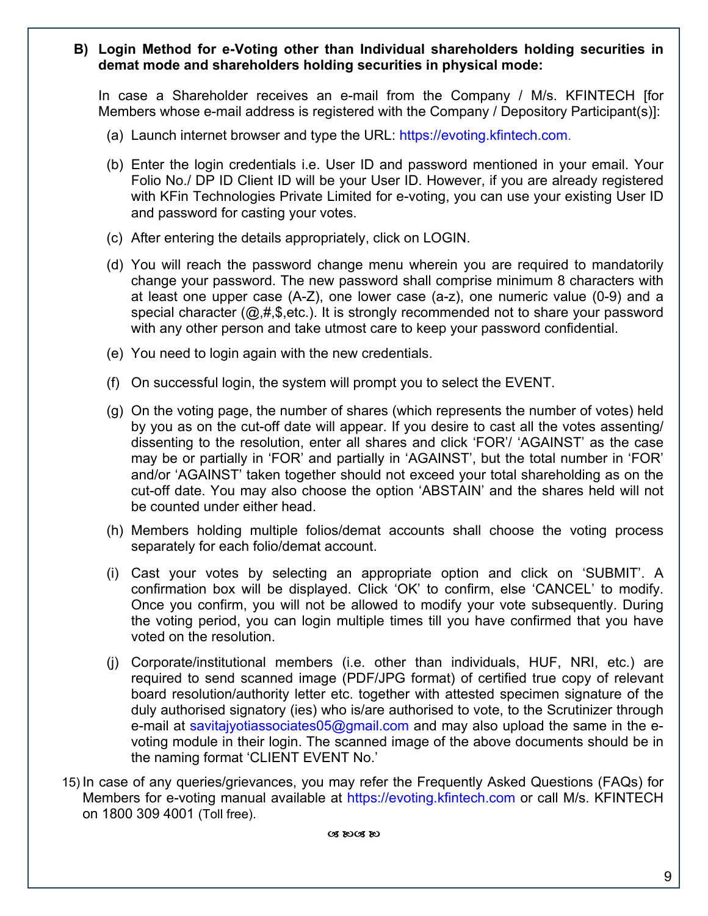### **B) Login Method for e-Voting other than Individual shareholders holding securities in demat mode and shareholders holding securities in physical mode:**

In case a Shareholder receives an e-mail from the Company / M/s. KFINTECH [for Members whose e-mail address is registered with the Company / Depository Participant(s)]:

- (a) Launch internet browser and type the URL: https://evoting.kfintech.com.
- (b) Enter the login credentials i.e. User ID and password mentioned in your email. Your Folio No./ DP ID Client ID will be your User ID. However, if you are already registered with KFin Technologies Private Limited for e-voting, you can use your existing User ID and password for casting your votes.
- (c) After entering the details appropriately, click on LOGIN.
- (d) You will reach the password change menu wherein you are required to mandatorily change your password. The new password shall comprise minimum 8 characters with at least one upper case (A-Z), one lower case (a-z), one numeric value (0-9) and a special character  $(Q,H,\$,etc.)$ . It is strongly recommended not to share your password with any other person and take utmost care to keep your password confidential.
- (e) You need to login again with the new credentials.
- (f) On successful login, the system will prompt you to select the EVENT.
- (g) On the voting page, the number of shares (which represents the number of votes) held by you as on the cut-off date will appear. If you desire to cast all the votes assenting/ dissenting to the resolution, enter all shares and click 'FOR'/ 'AGAINST' as the case may be or partially in 'FOR' and partially in 'AGAINST', but the total number in 'FOR' and/or 'AGAINST' taken together should not exceed your total shareholding as on the cut-off date. You may also choose the option 'ABSTAIN' and the shares held will not be counted under either head.
- (h) Members holding multiple folios/demat accounts shall choose the voting process separately for each folio/demat account.
- (i) Cast your votes by selecting an appropriate option and click on 'SUBMIT'. A confirmation box will be displayed. Click 'OK' to confirm, else 'CANCEL' to modify. Once you confirm, you will not be allowed to modify your vote subsequently. During the voting period, you can login multiple times till you have confirmed that you have voted on the resolution.
- (j) Corporate/institutional members (i.e. other than individuals, HUF, NRI, etc.) are required to send scanned image (PDF/JPG format) of certified true copy of relevant board resolution/authority letter etc. together with attested specimen signature of the duly authorised signatory (ies) who is/are authorised to vote, to the Scrutinizer through e-mail at savitajyotiassociates05@gmail.com and may also upload the same in the evoting module in their login. The scanned image of the above documents should be in the naming format 'CLIENT EVENT No.'
- 15) In case of any queries/grievances, you may refer the Frequently Asked Questions (FAQs) for Members for e-voting manual available at https://evoting.kfintech.com or call M/s. KFINTECH on 1800 309 4001 (Toll free).

08 8008 80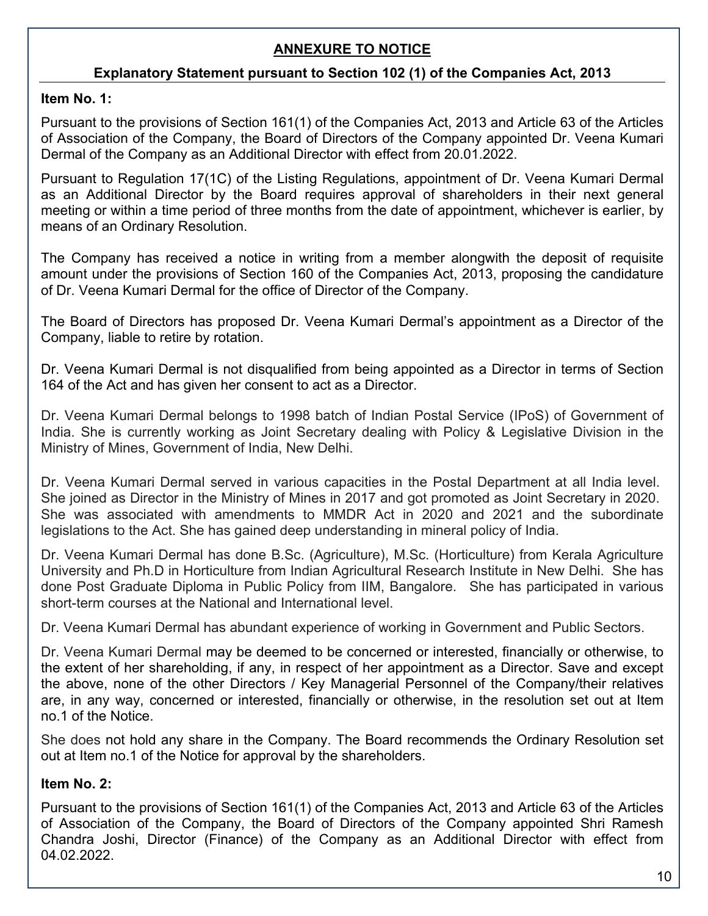# **ANNEXURE TO NOTICE**

## **Explanatory Statement pursuant to Section 102 (1) of the Companies Act, 2013**

## **Item No. 1:**

Pursuant to the provisions of Section 161(1) of the Companies Act, 2013 and Article 63 of the Articles of Association of the Company, the Board of Directors of the Company appointed Dr. Veena Kumari Dermal of the Company as an Additional Director with effect from 20.01.2022.

Pursuant to Regulation 17(1C) of the Listing Regulations, appointment of Dr. Veena Kumari Dermal as an Additional Director by the Board requires approval of shareholders in their next general meeting or within a time period of three months from the date of appointment, whichever is earlier, by means of an Ordinary Resolution.

The Company has received a notice in writing from a member alongwith the deposit of requisite amount under the provisions of Section 160 of the Companies Act, 2013, proposing the candidature of Dr. Veena Kumari Dermal for the office of Director of the Company.

The Board of Directors has proposed Dr. Veena Kumari Dermal's appointment as a Director of the Company, liable to retire by rotation.

Dr. Veena Kumari Dermal is not disqualified from being appointed as a Director in terms of Section 164 of the Act and has given her consent to act as a Director.

Dr. Veena Kumari Dermal belongs to 1998 batch of Indian Postal Service (IPoS) of Government of India. She is currently working as Joint Secretary dealing with Policy & Legislative Division in the Ministry of Mines, Government of India, New Delhi.

Dr. Veena Kumari Dermal served in various capacities in the Postal Department at all India level. She joined as Director in the Ministry of Mines in 2017 and got promoted as Joint Secretary in 2020. She was associated with amendments to MMDR Act in 2020 and 2021 and the subordinate legislations to the Act. She has gained deep understanding in mineral policy of India.

Dr. Veena Kumari Dermal has done B.Sc. (Agriculture), M.Sc. (Horticulture) from Kerala Agriculture University and Ph.D in Horticulture from Indian Agricultural Research Institute in New Delhi. She has done Post Graduate Diploma in Public Policy from IIM, Bangalore. She has participated in various short-term courses at the National and International level.

Dr. Veena Kumari Dermal has abundant experience of working in Government and Public Sectors.

Dr. Veena Kumari Dermal may be deemed to be concerned or interested, financially or otherwise, to the extent of her shareholding, if any, in respect of her appointment as a Director. Save and except the above, none of the other Directors / Key Managerial Personnel of the Company/their relatives are, in any way, concerned or interested, financially or otherwise, in the resolution set out at Item no.1 of the Notice.

She does not hold any share in the Company. The Board recommends the Ordinary Resolution set out at Item no.1 of the Notice for approval by the shareholders.

## **Item No. 2:**

Pursuant to the provisions of Section 161(1) of the Companies Act, 2013 and Article 63 of the Articles of Association of the Company, the Board of Directors of the Company appointed Shri Ramesh Chandra Joshi, Director (Finance) of the Company as an Additional Director with effect from 04.02.2022.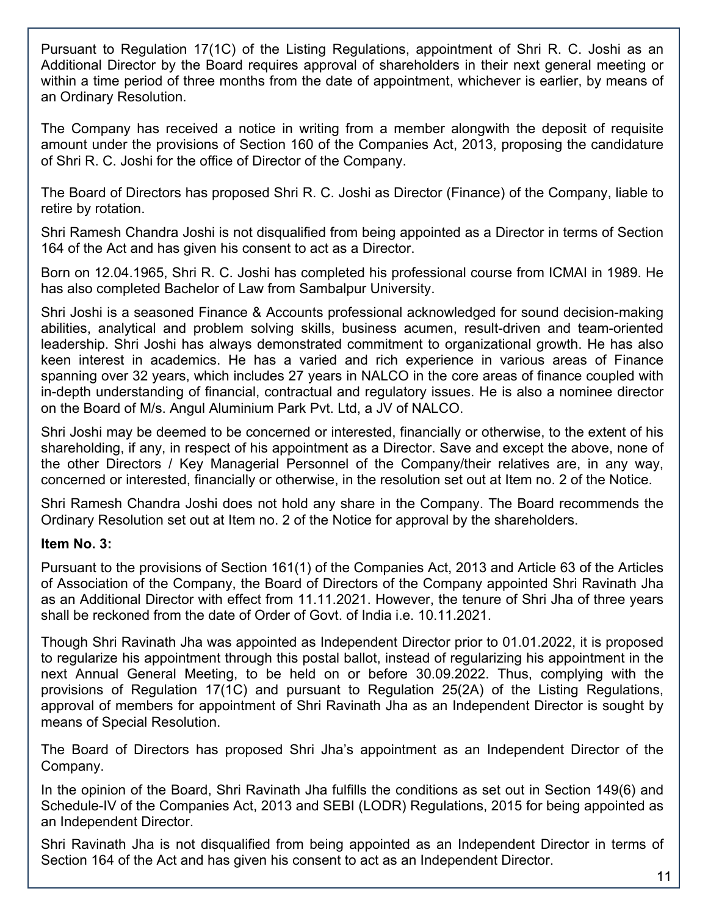Pursuant to Regulation 17(1C) of the Listing Regulations, appointment of Shri R. C. Joshi as an Additional Director by the Board requires approval of shareholders in their next general meeting or within a time period of three months from the date of appointment, whichever is earlier, by means of an Ordinary Resolution.

The Company has received a notice in writing from a member alongwith the deposit of requisite amount under the provisions of Section 160 of the Companies Act, 2013, proposing the candidature of Shri R. C. Joshi for the office of Director of the Company.

The Board of Directors has proposed Shri R. C. Joshi as Director (Finance) of the Company, liable to retire by rotation.

Shri Ramesh Chandra Joshi is not disqualified from being appointed as a Director in terms of Section 164 of the Act and has given his consent to act as a Director.

Born on 12.04.1965, Shri R. C. Joshi has completed his professional course from ICMAI in 1989. He has also completed Bachelor of Law from Sambalpur University.

Shri Joshi is a seasoned Finance & Accounts professional acknowledged for sound decision-making abilities, analytical and problem solving skills, business acumen, result-driven and team-oriented leadership. Shri Joshi has always demonstrated commitment to organizational growth. He has also keen interest in academics. He has a varied and rich experience in various areas of Finance spanning over 32 years, which includes 27 years in NALCO in the core areas of finance coupled with in-depth understanding of financial, contractual and regulatory issues. He is also a nominee director on the Board of M/s. Angul Aluminium Park Pvt. Ltd, a JV of NALCO.

Shri Joshi may be deemed to be concerned or interested, financially or otherwise, to the extent of his shareholding, if any, in respect of his appointment as a Director. Save and except the above, none of the other Directors / Key Managerial Personnel of the Company/their relatives are, in any way, concerned or interested, financially or otherwise, in the resolution set out at Item no. 2 of the Notice.

Shri Ramesh Chandra Joshi does not hold any share in the Company. The Board recommends the Ordinary Resolution set out at Item no. 2 of the Notice for approval by the shareholders.

## **Item No. 3:**

Pursuant to the provisions of Section 161(1) of the Companies Act, 2013 and Article 63 of the Articles of Association of the Company, the Board of Directors of the Company appointed Shri Ravinath Jha as an Additional Director with effect from 11.11.2021. However, the tenure of Shri Jha of three years shall be reckoned from the date of Order of Govt. of India i.e. 10.11.2021.

Though Shri Ravinath Jha was appointed as Independent Director prior to 01.01.2022, it is proposed to regularize his appointment through this postal ballot, instead of regularizing his appointment in the next Annual General Meeting, to be held on or before 30.09.2022. Thus, complying with the provisions of Regulation 17(1C) and pursuant to Regulation 25(2A) of the Listing Regulations, approval of members for appointment of Shri Ravinath Jha as an Independent Director is sought by means of Special Resolution.

The Board of Directors has proposed Shri Jha's appointment as an Independent Director of the Company.

In the opinion of the Board, Shri Ravinath Jha fulfills the conditions as set out in Section 149(6) and Schedule-IV of the Companies Act, 2013 and SEBI (LODR) Regulations, 2015 for being appointed as an Independent Director.

Shri Ravinath Jha is not disqualified from being appointed as an Independent Director in terms of Section 164 of the Act and has given his consent to act as an Independent Director.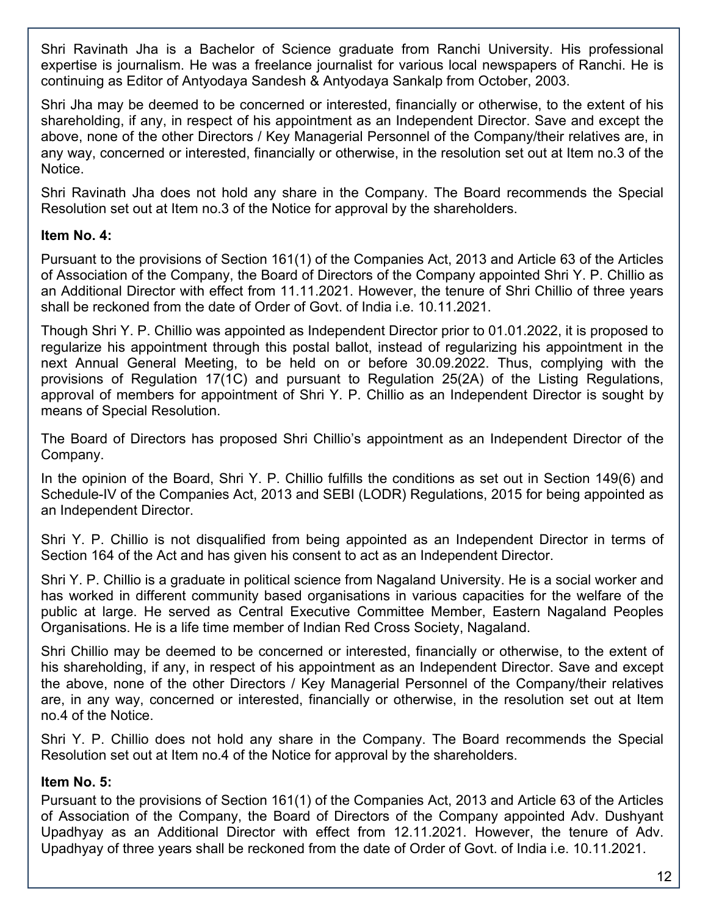Shri Ravinath Jha is a Bachelor of Science graduate from Ranchi University. His professional expertise is journalism. He was a freelance journalist for various local newspapers of Ranchi. He is continuing as Editor of Antyodaya Sandesh & Antyodaya Sankalp from October, 2003.

Shri Jha may be deemed to be concerned or interested, financially or otherwise, to the extent of his shareholding, if any, in respect of his appointment as an Independent Director. Save and except the above, none of the other Directors / Key Managerial Personnel of the Company/their relatives are, in any way, concerned or interested, financially or otherwise, in the resolution set out at Item no.3 of the Notice.

Shri Ravinath Jha does not hold any share in the Company. The Board recommends the Special Resolution set out at Item no.3 of the Notice for approval by the shareholders.

## **Item No. 4:**

Pursuant to the provisions of Section 161(1) of the Companies Act, 2013 and Article 63 of the Articles of Association of the Company, the Board of Directors of the Company appointed Shri Y. P. Chillio as an Additional Director with effect from 11.11.2021. However, the tenure of Shri Chillio of three years shall be reckoned from the date of Order of Govt. of India i.e. 10.11.2021.

Though Shri Y. P. Chillio was appointed as Independent Director prior to 01.01.2022, it is proposed to regularize his appointment through this postal ballot, instead of regularizing his appointment in the next Annual General Meeting, to be held on or before 30.09.2022. Thus, complying with the provisions of Regulation 17(1C) and pursuant to Regulation 25(2A) of the Listing Regulations, approval of members for appointment of Shri Y. P. Chillio as an Independent Director is sought by means of Special Resolution.

The Board of Directors has proposed Shri Chillio's appointment as an Independent Director of the Company.

In the opinion of the Board, Shri Y. P. Chillio fulfills the conditions as set out in Section 149(6) and Schedule-IV of the Companies Act, 2013 and SEBI (LODR) Regulations, 2015 for being appointed as an Independent Director.

Shri Y. P. Chillio is not disqualified from being appointed as an Independent Director in terms of Section 164 of the Act and has given his consent to act as an Independent Director.

Shri Y. P. Chillio is a graduate in political science from Nagaland University. He is a social worker and has worked in different community based organisations in various capacities for the welfare of the public at large. He served as Central Executive Committee Member, Eastern Nagaland Peoples Organisations. He is a life time member of Indian Red Cross Society, Nagaland.

Shri Chillio may be deemed to be concerned or interested, financially or otherwise, to the extent of his shareholding, if any, in respect of his appointment as an Independent Director. Save and except the above, none of the other Directors / Key Managerial Personnel of the Company/their relatives are, in any way, concerned or interested, financially or otherwise, in the resolution set out at Item no.4 of the Notice.

Shri Y. P. Chillio does not hold any share in the Company. The Board recommends the Special Resolution set out at Item no.4 of the Notice for approval by the shareholders.

### **Item No. 5:**

Pursuant to the provisions of Section 161(1) of the Companies Act, 2013 and Article 63 of the Articles of Association of the Company, the Board of Directors of the Company appointed Adv. Dushyant Upadhyay as an Additional Director with effect from 12.11.2021. However, the tenure of Adv. Upadhyay of three years shall be reckoned from the date of Order of Govt. of India i.e. 10.11.2021.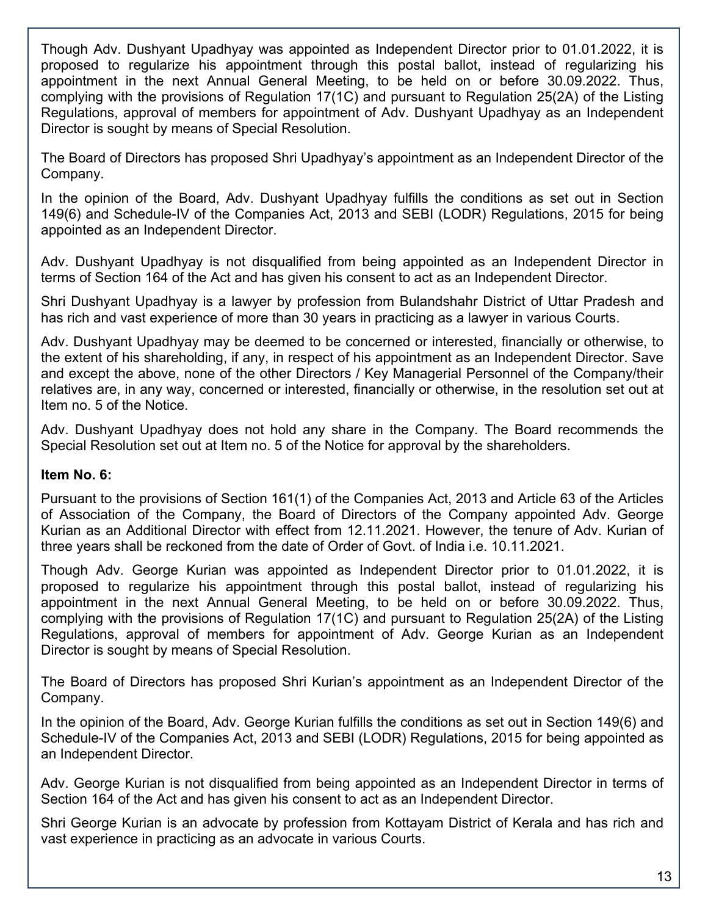Though Adv. Dushyant Upadhyay was appointed as Independent Director prior to 01.01.2022, it is proposed to regularize his appointment through this postal ballot, instead of regularizing his appointment in the next Annual General Meeting, to be held on or before 30.09.2022. Thus, complying with the provisions of Regulation 17(1C) and pursuant to Regulation 25(2A) of the Listing Regulations, approval of members for appointment of Adv. Dushyant Upadhyay as an Independent Director is sought by means of Special Resolution.

The Board of Directors has proposed Shri Upadhyay's appointment as an Independent Director of the Company.

In the opinion of the Board, Adv. Dushyant Upadhyay fulfills the conditions as set out in Section 149(6) and Schedule-IV of the Companies Act, 2013 and SEBI (LODR) Regulations, 2015 for being appointed as an Independent Director.

Adv. Dushyant Upadhyay is not disqualified from being appointed as an Independent Director in terms of Section 164 of the Act and has given his consent to act as an Independent Director.

Shri Dushyant Upadhyay is a lawyer by profession from Bulandshahr District of Uttar Pradesh and has rich and vast experience of more than 30 years in practicing as a lawyer in various Courts.

Adv. Dushyant Upadhyay may be deemed to be concerned or interested, financially or otherwise, to the extent of his shareholding, if any, in respect of his appointment as an Independent Director. Save and except the above, none of the other Directors / Key Managerial Personnel of the Company/their relatives are, in any way, concerned or interested, financially or otherwise, in the resolution set out at Item no. 5 of the Notice.

Adv. Dushyant Upadhyay does not hold any share in the Company. The Board recommends the Special Resolution set out at Item no. 5 of the Notice for approval by the shareholders.

### **Item No. 6:**

Pursuant to the provisions of Section 161(1) of the Companies Act, 2013 and Article 63 of the Articles of Association of the Company, the Board of Directors of the Company appointed Adv. George Kurian as an Additional Director with effect from 12.11.2021. However, the tenure of Adv. Kurian of three years shall be reckoned from the date of Order of Govt. of India i.e. 10.11.2021.

Though Adv. George Kurian was appointed as Independent Director prior to 01.01.2022, it is proposed to regularize his appointment through this postal ballot, instead of regularizing his appointment in the next Annual General Meeting, to be held on or before 30.09.2022. Thus, complying with the provisions of Regulation 17(1C) and pursuant to Regulation 25(2A) of the Listing Regulations, approval of members for appointment of Adv. George Kurian as an Independent Director is sought by means of Special Resolution.

The Board of Directors has proposed Shri Kurian's appointment as an Independent Director of the Company.

In the opinion of the Board, Adv. George Kurian fulfills the conditions as set out in Section 149(6) and Schedule-IV of the Companies Act, 2013 and SEBI (LODR) Regulations, 2015 for being appointed as an Independent Director.

Adv. George Kurian is not disqualified from being appointed as an Independent Director in terms of Section 164 of the Act and has given his consent to act as an Independent Director.

Shri George Kurian is an advocate by profession from Kottayam District of Kerala and has rich and vast experience in practicing as an advocate in various Courts.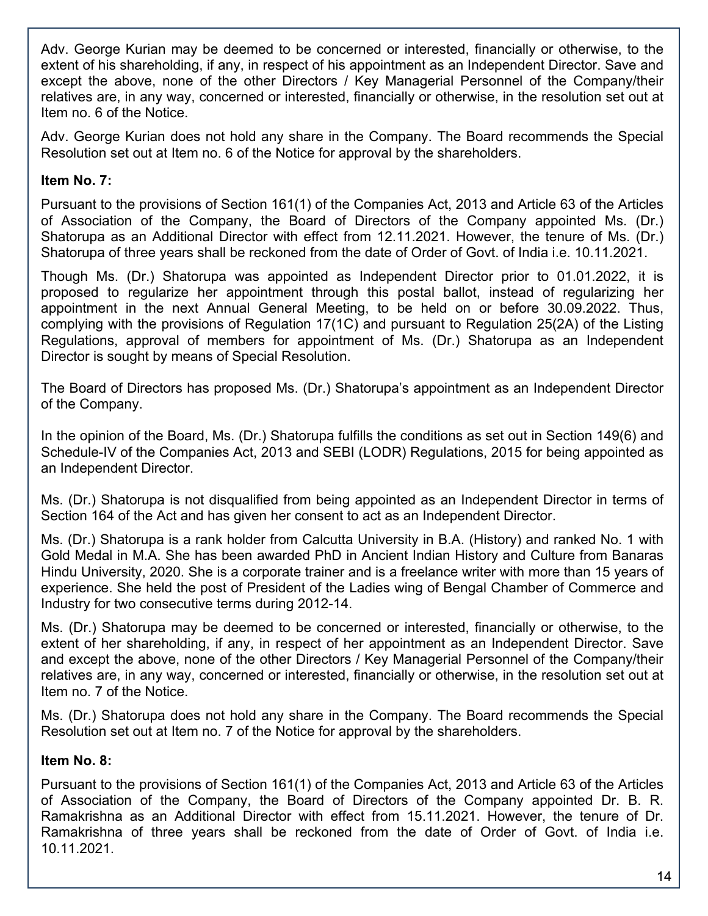Adv. George Kurian may be deemed to be concerned or interested, financially or otherwise, to the extent of his shareholding, if any, in respect of his appointment as an Independent Director. Save and except the above, none of the other Directors / Key Managerial Personnel of the Company/their relatives are, in any way, concerned or interested, financially or otherwise, in the resolution set out at Item no. 6 of the Notice.

Adv. George Kurian does not hold any share in the Company. The Board recommends the Special Resolution set out at Item no. 6 of the Notice for approval by the shareholders.

## **Item No. 7:**

Pursuant to the provisions of Section 161(1) of the Companies Act, 2013 and Article 63 of the Articles of Association of the Company, the Board of Directors of the Company appointed Ms. (Dr.) Shatorupa as an Additional Director with effect from 12.11.2021. However, the tenure of Ms. (Dr.) Shatorupa of three years shall be reckoned from the date of Order of Govt. of India i.e. 10.11.2021.

Though Ms. (Dr.) Shatorupa was appointed as Independent Director prior to 01.01.2022, it is proposed to regularize her appointment through this postal ballot, instead of regularizing her appointment in the next Annual General Meeting, to be held on or before 30.09.2022. Thus, complying with the provisions of Regulation 17(1C) and pursuant to Regulation 25(2A) of the Listing Regulations, approval of members for appointment of Ms. (Dr.) Shatorupa as an Independent Director is sought by means of Special Resolution.

The Board of Directors has proposed Ms. (Dr.) Shatorupa's appointment as an Independent Director of the Company.

In the opinion of the Board, Ms. (Dr.) Shatorupa fulfills the conditions as set out in Section 149(6) and Schedule-IV of the Companies Act, 2013 and SEBI (LODR) Regulations, 2015 for being appointed as an Independent Director.

Ms. (Dr.) Shatorupa is not disqualified from being appointed as an Independent Director in terms of Section 164 of the Act and has given her consent to act as an Independent Director.

Ms. (Dr.) Shatorupa is a rank holder from Calcutta University in B.A. (History) and ranked No. 1 with Gold Medal in M.A. She has been awarded PhD in Ancient Indian History and Culture from Banaras Hindu University, 2020. She is a corporate trainer and is a freelance writer with more than 15 years of experience. She held the post of President of the Ladies wing of Bengal Chamber of Commerce and Industry for two consecutive terms during 2012-14.

Ms. (Dr.) Shatorupa may be deemed to be concerned or interested, financially or otherwise, to the extent of her shareholding, if any, in respect of her appointment as an Independent Director. Save and except the above, none of the other Directors / Key Managerial Personnel of the Company/their relatives are, in any way, concerned or interested, financially or otherwise, in the resolution set out at Item no. 7 of the Notice.

Ms. (Dr.) Shatorupa does not hold any share in the Company. The Board recommends the Special Resolution set out at Item no. 7 of the Notice for approval by the shareholders.

## **Item No. 8:**

Pursuant to the provisions of Section 161(1) of the Companies Act, 2013 and Article 63 of the Articles of Association of the Company, the Board of Directors of the Company appointed Dr. B. R. Ramakrishna as an Additional Director with effect from 15.11.2021. However, the tenure of Dr. Ramakrishna of three years shall be reckoned from the date of Order of Govt. of India i.e. 10.11.2021.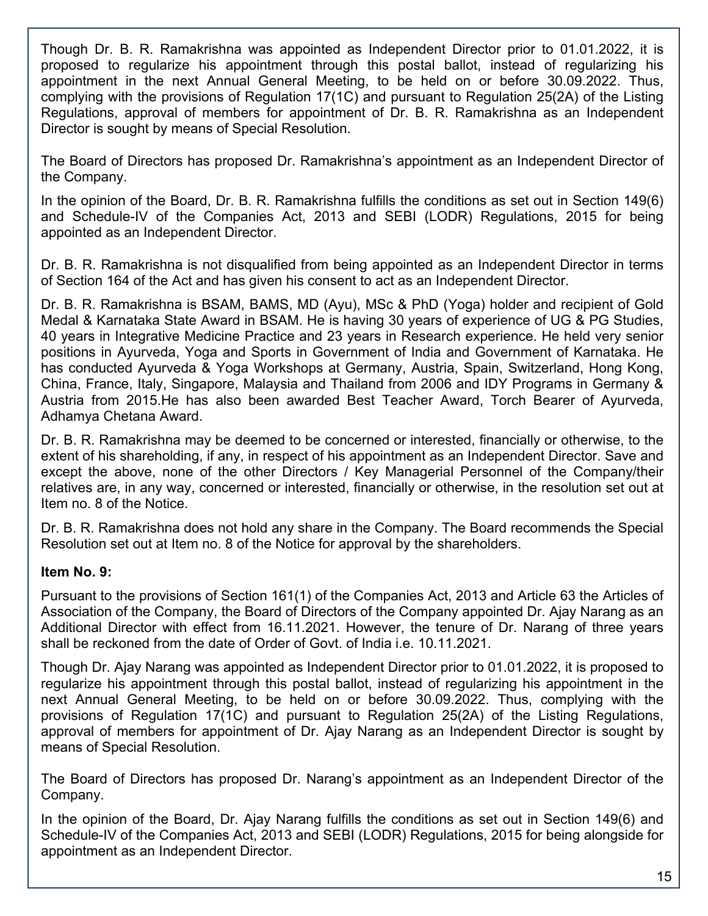Though Dr. B. R. Ramakrishna was appointed as Independent Director prior to 01.01.2022, it is proposed to regularize his appointment through this postal ballot, instead of regularizing his appointment in the next Annual General Meeting, to be held on or before 30.09.2022. Thus, complying with the provisions of Regulation 17(1C) and pursuant to Regulation 25(2A) of the Listing Regulations, approval of members for appointment of Dr. B. R. Ramakrishna as an Independent Director is sought by means of Special Resolution.

The Board of Directors has proposed Dr. Ramakrishna's appointment as an Independent Director of the Company.

In the opinion of the Board, Dr. B. R. Ramakrishna fulfills the conditions as set out in Section 149(6) and Schedule-IV of the Companies Act, 2013 and SEBI (LODR) Regulations, 2015 for being appointed as an Independent Director.

Dr. B. R. Ramakrishna is not disqualified from being appointed as an Independent Director in terms of Section 164 of the Act and has given his consent to act as an Independent Director.

Dr. B. R. Ramakrishna is BSAM, BAMS, MD (Ayu), MSc & PhD (Yoga) holder and recipient of Gold Medal & Karnataka State Award in BSAM. He is having 30 years of experience of UG & PG Studies, 40 years in Integrative Medicine Practice and 23 years in Research experience. He held very senior positions in Ayurveda, Yoga and Sports in Government of India and Government of Karnataka. He has conducted Ayurveda & Yoga Workshops at Germany, Austria, Spain, Switzerland, Hong Kong, China, France, Italy, Singapore, Malaysia and Thailand from 2006 and IDY Programs in Germany & Austria from 2015.He has also been awarded Best Teacher Award, Torch Bearer of Ayurveda, Adhamya Chetana Award.

Dr. B. R. Ramakrishna may be deemed to be concerned or interested, financially or otherwise, to the extent of his shareholding, if any, in respect of his appointment as an Independent Director. Save and except the above, none of the other Directors / Key Managerial Personnel of the Company/their relatives are, in any way, concerned or interested, financially or otherwise, in the resolution set out at Item no. 8 of the Notice.

Dr. B. R. Ramakrishna does not hold any share in the Company. The Board recommends the Special Resolution set out at Item no. 8 of the Notice for approval by the shareholders.

# **Item No. 9:**

Pursuant to the provisions of Section 161(1) of the Companies Act, 2013 and Article 63 the Articles of Association of the Company, the Board of Directors of the Company appointed Dr. Ajay Narang as an Additional Director with effect from 16.11.2021. However, the tenure of Dr. Narang of three years shall be reckoned from the date of Order of Govt. of India i.e. 10.11.2021.

Though Dr. Ajay Narang was appointed as Independent Director prior to 01.01.2022, it is proposed to regularize his appointment through this postal ballot, instead of regularizing his appointment in the next Annual General Meeting, to be held on or before 30.09.2022. Thus, complying with the provisions of Regulation 17(1C) and pursuant to Regulation 25(2A) of the Listing Regulations, approval of members for appointment of Dr. Ajay Narang as an Independent Director is sought by means of Special Resolution.

The Board of Directors has proposed Dr. Narang's appointment as an Independent Director of the Company.

In the opinion of the Board, Dr. Ajay Narang fulfills the conditions as set out in Section 149(6) and Schedule-IV of the Companies Act, 2013 and SEBI (LODR) Regulations, 2015 for being alongside for appointment as an Independent Director.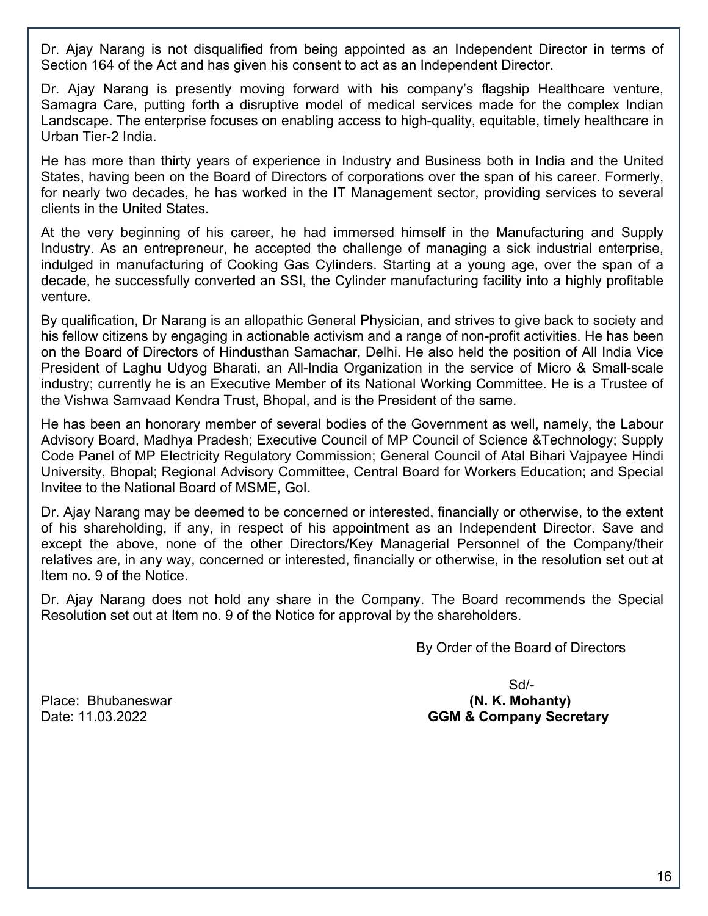Dr. Ajay Narang is not disqualified from being appointed as an Independent Director in terms of Section 164 of the Act and has given his consent to act as an Independent Director.

Dr. Ajay Narang is presently moving forward with his company's flagship Healthcare venture, Samagra Care, putting forth a disruptive model of medical services made for the complex Indian Landscape. The enterprise focuses on enabling access to high-quality, equitable, timely healthcare in Urban Tier-2 India.

He has more than thirty years of experience in Industry and Business both in India and the United States, having been on the Board of Directors of corporations over the span of his career. Formerly, for nearly two decades, he has worked in the IT Management sector, providing services to several clients in the United States.

At the very beginning of his career, he had immersed himself in the Manufacturing and Supply Industry. As an entrepreneur, he accepted the challenge of managing a sick industrial enterprise, indulged in manufacturing of Cooking Gas Cylinders. Starting at a young age, over the span of a decade, he successfully converted an SSI, the Cylinder manufacturing facility into a highly profitable venture.

By qualification, Dr Narang is an allopathic General Physician, and strives to give back to society and his fellow citizens by engaging in actionable activism and a range of non-profit activities. He has been on the Board of Directors of Hindusthan Samachar, Delhi. He also held the position of All India Vice President of Laghu Udyog Bharati, an All-India Organization in the service of Micro & Small-scale industry; currently he is an Executive Member of its National Working Committee. He is a Trustee of the Vishwa Samvaad Kendra Trust, Bhopal, and is the President of the same.

He has been an honorary member of several bodies of the Government as well, namely, the Labour Advisory Board, Madhya Pradesh; Executive Council of MP Council of Science &Technology; Supply Code Panel of MP Electricity Regulatory Commission; General Council of Atal Bihari Vajpayee Hindi University, Bhopal; Regional Advisory Committee, Central Board for Workers Education; and Special Invitee to the National Board of MSME, GoI.

Dr. Ajay Narang may be deemed to be concerned or interested, financially or otherwise, to the extent of his shareholding, if any, in respect of his appointment as an Independent Director. Save and except the above, none of the other Directors/Key Managerial Personnel of the Company/their relatives are, in any way, concerned or interested, financially or otherwise, in the resolution set out at Item no. 9 of the Notice.

Dr. Ajay Narang does not hold any share in the Company. The Board recommends the Special Resolution set out at Item no. 9 of the Notice for approval by the shareholders.

By Order of the Board of Directors

 Sd/- Place: Bhubaneswar **(N. K. Mohanty)**  Date: 11.03.2022 **GGM & Company Secretary**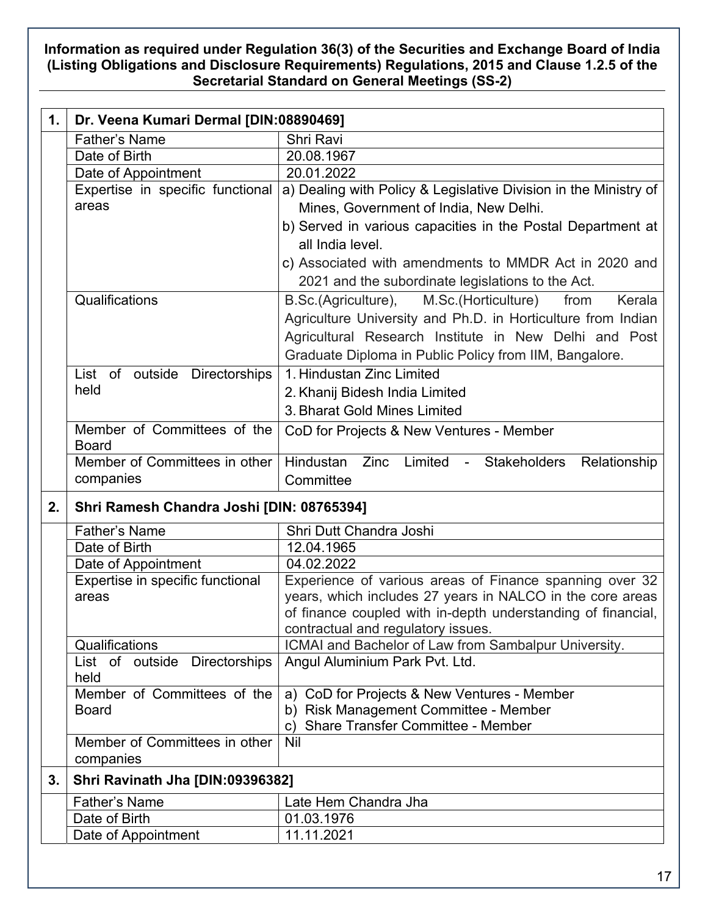## **Information as required under Regulation 36(3) of the Securities and Exchange Board of India (Listing Obligations and Disclosure Requirements) Regulations, 2015 and Clause 1.2.5 of the Secretarial Standard on General Meetings (SS-2)**

| 1. | Dr. Veena Kumari Dermal [DIN:08890469]    |                                                                                                   |
|----|-------------------------------------------|---------------------------------------------------------------------------------------------------|
|    | <b>Father's Name</b>                      | Shri Ravi                                                                                         |
|    | Date of Birth                             | 20.08.1967                                                                                        |
|    | Date of Appointment                       | 20.01.2022                                                                                        |
|    | Expertise in specific functional          | a) Dealing with Policy & Legislative Division in the Ministry of                                  |
|    | areas                                     | Mines, Government of India, New Delhi.                                                            |
|    |                                           | b) Served in various capacities in the Postal Department at                                       |
|    |                                           | all India level.                                                                                  |
|    |                                           | c) Associated with amendments to MMDR Act in 2020 and                                             |
|    |                                           | 2021 and the subordinate legislations to the Act.                                                 |
|    | Qualifications                            | B.Sc.(Agriculture),<br>from<br>Kerala                                                             |
|    |                                           | M.Sc.(Horticulture)                                                                               |
|    |                                           | Agriculture University and Ph.D. in Horticulture from Indian                                      |
|    |                                           | Agricultural Research Institute in New Delhi and Post                                             |
|    |                                           | Graduate Diploma in Public Policy from IIM, Bangalore.                                            |
|    | List of outside Directorships             | 1. Hindustan Zinc Limited                                                                         |
|    | held                                      | 2. Khanij Bidesh India Limited                                                                    |
|    |                                           | 3. Bharat Gold Mines Limited                                                                      |
|    | Member of Committees of the               | CoD for Projects & New Ventures - Member                                                          |
|    | <b>Board</b>                              |                                                                                                   |
|    | Member of Committees in other             | Hindustan Zinc<br>Limited - Stakeholders<br>Relationship                                          |
|    | companies                                 | Committee                                                                                         |
| 2. | Shri Ramesh Chandra Joshi [DIN: 08765394] |                                                                                                   |
|    | <b>Father's Name</b>                      | Shri Dutt Chandra Joshi                                                                           |
|    | Date of Birth                             | 12.04.1965                                                                                        |
|    | Date of Appointment                       | 04.02.2022                                                                                        |
|    | Expertise in specific functional          | Experience of various areas of Finance spanning over 32                                           |
|    | areas                                     | years, which includes 27 years in NALCO in the core areas                                         |
|    |                                           | of finance coupled with in-depth understanding of financial,                                      |
|    |                                           | contractual and regulatory issues.                                                                |
|    | Qualifications                            | ICMAI and Bachelor of Law from Sambalpur University.                                              |
|    | Directorships<br>List of outside          | Angul Aluminium Park Pvt. Ltd.                                                                    |
|    | held                                      |                                                                                                   |
|    | Member of Committees of the               | CoD for Projects & New Ventures - Member<br>a)                                                    |
|    | <b>Board</b>                              | <b>Risk Management Committee - Member</b><br>b)<br><b>Share Transfer Committee - Member</b><br>C) |
|    | Member of Committees in other             | Nil                                                                                               |
|    | companies                                 |                                                                                                   |
| 3. | Shri Ravinath Jha [DIN:09396382]          |                                                                                                   |
|    | <b>Father's Name</b>                      | Late Hem Chandra Jha                                                                              |
|    | Date of Birth                             | 01.03.1976                                                                                        |
|    | Date of Appointment                       | 11.11.2021                                                                                        |
|    |                                           |                                                                                                   |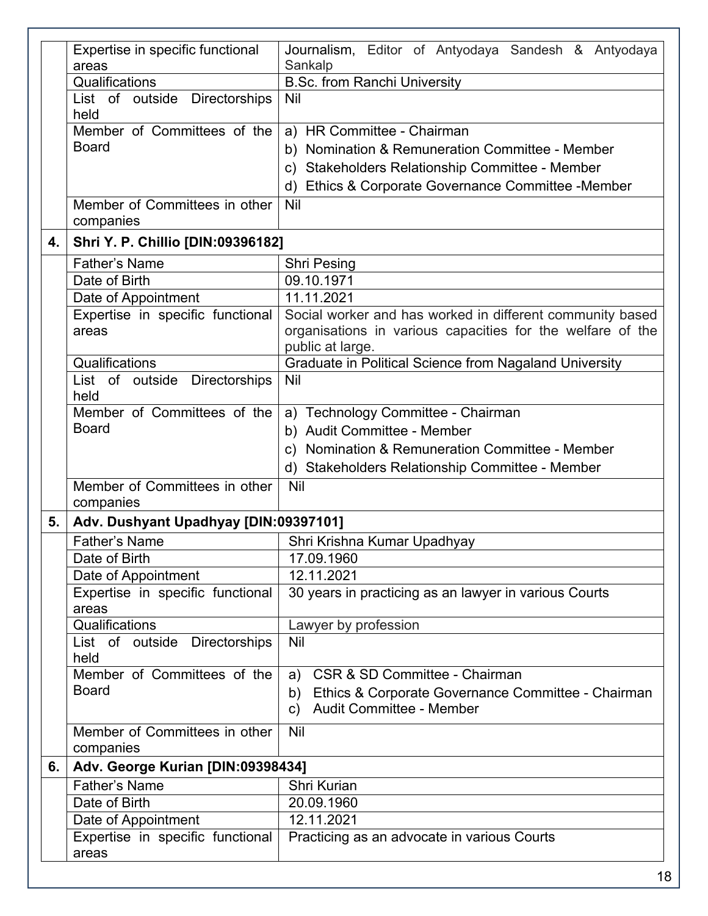|    | Expertise in specific functional          | Journalism, Editor of Antyodaya Sandesh & Antyodaya                                                                     |
|----|-------------------------------------------|-------------------------------------------------------------------------------------------------------------------------|
|    | areas                                     | Sankalp                                                                                                                 |
|    | Qualifications                            | <b>B.Sc. from Ranchi University</b>                                                                                     |
|    | List of outside Directorships             | Nil                                                                                                                     |
|    | held                                      |                                                                                                                         |
|    | Member of Committees of the               | a) HR Committee - Chairman                                                                                              |
|    | <b>Board</b>                              | b) Nomination & Remuneration Committee - Member                                                                         |
|    |                                           | c) Stakeholders Relationship Committee - Member                                                                         |
|    |                                           | Ethics & Corporate Governance Committee -Member<br>d)                                                                   |
|    | Member of Committees in other             | Nil                                                                                                                     |
|    | companies                                 |                                                                                                                         |
| 4. | <b>Shri Y. P. Chillio [DIN:09396182]</b>  |                                                                                                                         |
|    |                                           |                                                                                                                         |
|    | <b>Father's Name</b>                      | <b>Shri Pesing</b>                                                                                                      |
|    | Date of Birth                             | 09.10.1971                                                                                                              |
|    | Date of Appointment                       | 11.11.2021                                                                                                              |
|    | Expertise in specific functional<br>areas | Social worker and has worked in different community based<br>organisations in various capacities for the welfare of the |
|    |                                           | public at large.                                                                                                        |
|    | Qualifications                            | Graduate in Political Science from Nagaland University                                                                  |
|    | List of outside Directorships             | Nil                                                                                                                     |
|    | held                                      |                                                                                                                         |
|    | Member of Committees of the               | a) Technology Committee - Chairman                                                                                      |
|    | <b>Board</b>                              | b) Audit Committee - Member                                                                                             |
|    |                                           | c) Nomination & Remuneration Committee - Member                                                                         |
|    |                                           | d) Stakeholders Relationship Committee - Member                                                                         |
|    | Member of Committees in other             | Nil                                                                                                                     |
|    | companies                                 |                                                                                                                         |
| 5. | Adv. Dushyant Upadhyay [DIN:09397101]     |                                                                                                                         |
|    | <b>Father's Name</b>                      | Shri Krishna Kumar Upadhyay                                                                                             |
|    | Date of Birth                             | 17.09.1960                                                                                                              |
|    | Date of Appointment                       | 12.11.2021                                                                                                              |
|    | Expertise in specific functional          | 30 years in practicing as an lawyer in various Courts                                                                   |
|    | areas                                     |                                                                                                                         |
|    | Qualifications                            | Lawyer by profession                                                                                                    |
|    | List of outside Directorships             | <b>Nil</b>                                                                                                              |
|    | held                                      |                                                                                                                         |
|    | Member of Committees of the               | a) CSR & SD Committee - Chairman                                                                                        |
|    | <b>Board</b>                              | Ethics & Corporate Governance Committee - Chairman<br>b)                                                                |
|    |                                           | <b>Audit Committee - Member</b><br>$\mathsf{c}$                                                                         |
|    | Member of Committees in other             | Nil                                                                                                                     |
|    | companies                                 |                                                                                                                         |
| 6. | Adv. George Kurian [DIN:09398434]         |                                                                                                                         |
|    | <b>Father's Name</b>                      | Shri Kurian                                                                                                             |
|    | Date of Birth                             | 20.09.1960                                                                                                              |
|    | Date of Appointment                       | 12.11.2021                                                                                                              |
|    | Expertise in specific functional          | Practicing as an advocate in various Courts                                                                             |
|    | areas                                     |                                                                                                                         |
|    |                                           |                                                                                                                         |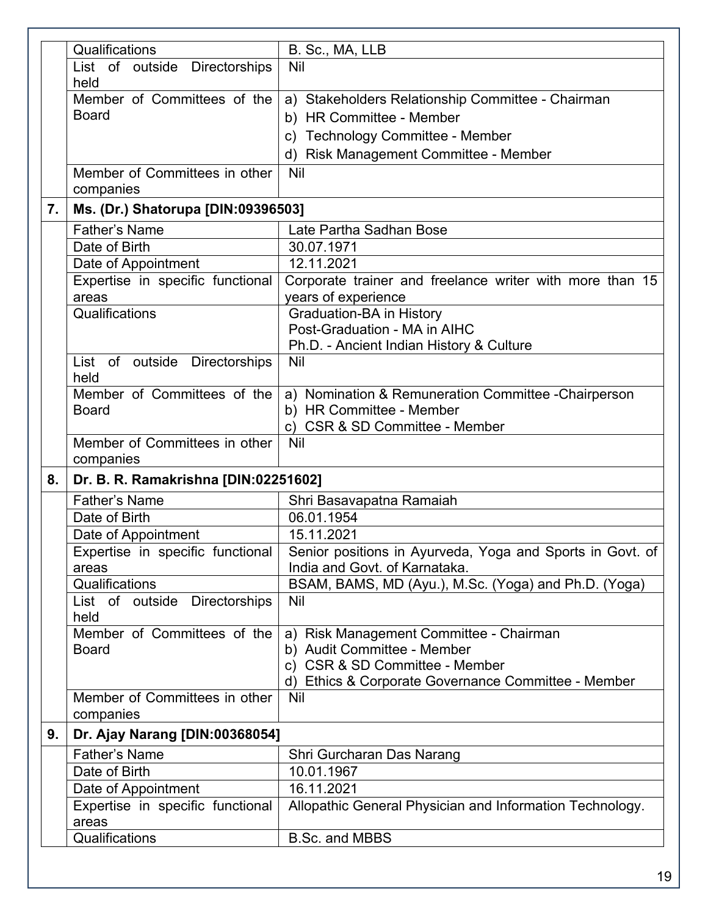|    | Qualifications                            | B. Sc., MA, LLB                                            |
|----|-------------------------------------------|------------------------------------------------------------|
|    | List of outside Directorships             | Nil                                                        |
|    | held                                      |                                                            |
|    | Member of Committees of the               | a) Stakeholders Relationship Committee - Chairman          |
|    | <b>Board</b>                              | b) HR Committee - Member                                   |
|    |                                           | c) Technology Committee - Member                           |
|    |                                           | d) Risk Management Committee - Member                      |
|    |                                           |                                                            |
|    | Member of Committees in other             | <b>Nil</b>                                                 |
|    | companies                                 |                                                            |
| 7. | Ms. (Dr.) Shatorupa [DIN:09396503]        |                                                            |
|    | <b>Father's Name</b>                      | Late Partha Sadhan Bose                                    |
|    | Date of Birth                             | 30.07.1971                                                 |
|    | Date of Appointment                       | 12.11.2021                                                 |
|    | Expertise in specific functional          | Corporate trainer and freelance writer with more than 15   |
|    | areas                                     | years of experience                                        |
|    | Qualifications                            | Graduation-BA in History                                   |
|    |                                           | Post-Graduation - MA in AIHC                               |
|    |                                           | Ph.D. - Ancient Indian History & Culture                   |
|    | List of outside Directorships             | Nil                                                        |
|    | held                                      |                                                            |
|    | Member of Committees of the               | a) Nomination & Remuneration Committee - Chairperson       |
|    | <b>Board</b>                              | b) HR Committee - Member                                   |
|    |                                           | c) CSR & SD Committee - Member                             |
|    | Member of Committees in other             | Nil                                                        |
|    | companies                                 |                                                            |
| 8. | Dr. B. R. Ramakrishna [DIN:02251602]      |                                                            |
|    | <b>Father's Name</b>                      | Shri Basavapatna Ramaiah                                   |
|    | Date of Birth                             | 06.01.1954                                                 |
|    | Date of Appointment                       | 15.11.2021                                                 |
|    | Expertise in specific functional          | Senior positions in Ayurveda, Yoga and Sports in Govt. of  |
|    | areas                                     | India and Govt. of Karnataka.                              |
|    | Qualifications                            | BSAM, BAMS, MD (Ayu.), M.Sc. (Yoga) and Ph.D. (Yoga)       |
|    | List of outside Directorships             | <b>Nil</b>                                                 |
|    | held                                      |                                                            |
|    | Member of Committees of the               | a) Risk Management Committee - Chairman                    |
|    | <b>Board</b>                              | b) Audit Committee - Member                                |
|    |                                           | <b>CSR &amp; SD Committee - Member</b><br>c)               |
|    | Member of Committees in other             | d) Ethics & Corporate Governance Committee - Member<br>Nil |
|    | companies                                 |                                                            |
|    |                                           |                                                            |
| 9. | Dr. Ajay Narang [DIN:00368054]            |                                                            |
|    | <b>Father's Name</b>                      | Shri Gurcharan Das Narang                                  |
|    | Date of Birth                             | 10.01.1967                                                 |
|    | Date of Appointment                       | 16.11.2021                                                 |
|    | Expertise in specific functional<br>areas | Allopathic General Physician and Information Technology.   |
|    | Qualifications                            | <b>B.Sc. and MBBS</b>                                      |
|    |                                           |                                                            |